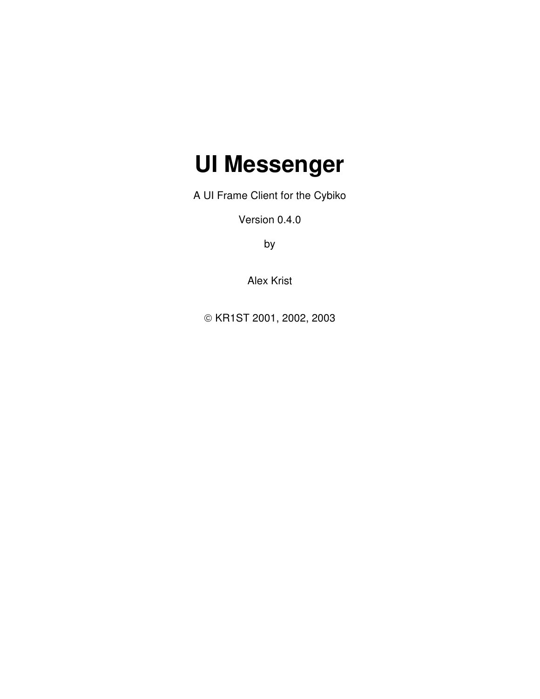# **UI Messenger**

A UI Frame Client for the Cybiko

Version 0.4.0

by

Alex Krist

KR1ST 2001, 2002, 2003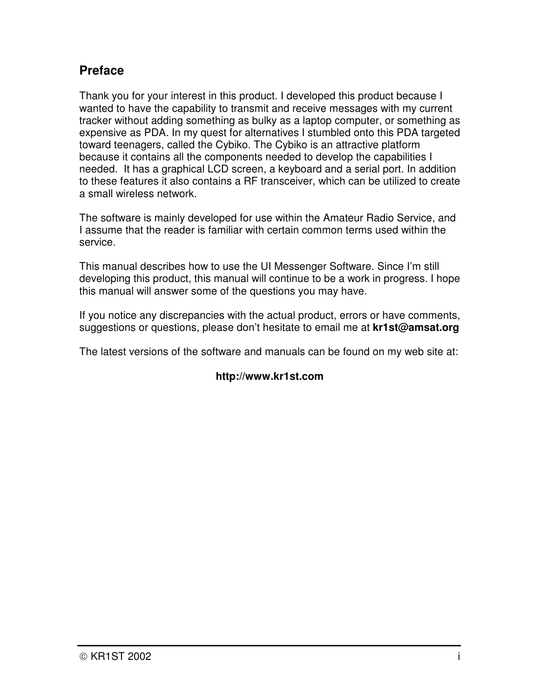## **Preface**

Thank you for your interest in this product. I developed this product because I wanted to have the capability to transmit and receive messages with my current tracker without adding something as bulky as a laptop computer, or something as expensive as PDA. In my quest for alternatives I stumbled onto this PDA targeted toward teenagers, called the Cybiko. The Cybiko is an attractive platform because it contains all the components needed to develop the capabilities I needed. It has a graphical LCD screen, a keyboard and a serial port. In addition to these features it also contains a RF transceiver, which can be utilized to create a small wireless network.

The software is mainly developed for use within the Amateur Radio Service, and I assume that the reader is familiar with certain common terms used within the service.

This manual describes how to use the UI Messenger Software. Since I'm still developing this product, this manual will continue to be a work in progress. I hope this manual will answer some of the questions you may have.

If you notice any discrepancies with the actual product, errors or have comments, suggestions or questions, please don't hesitate to email me at **kr1st@amsat.org**

The latest versions of the software and manuals can be found on my web site at:

#### **http://www.kr1st.com**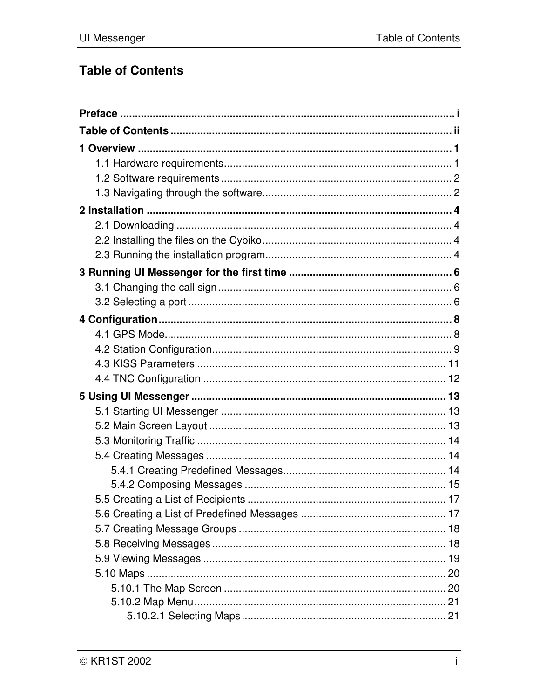## **Table of Contents**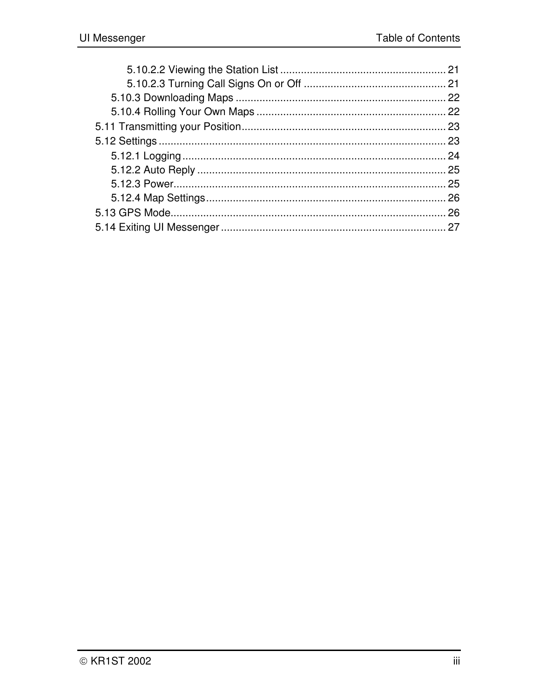| 21 |
|----|
|    |
|    |
|    |
|    |
|    |
|    |
|    |
|    |
| 26 |
|    |
|    |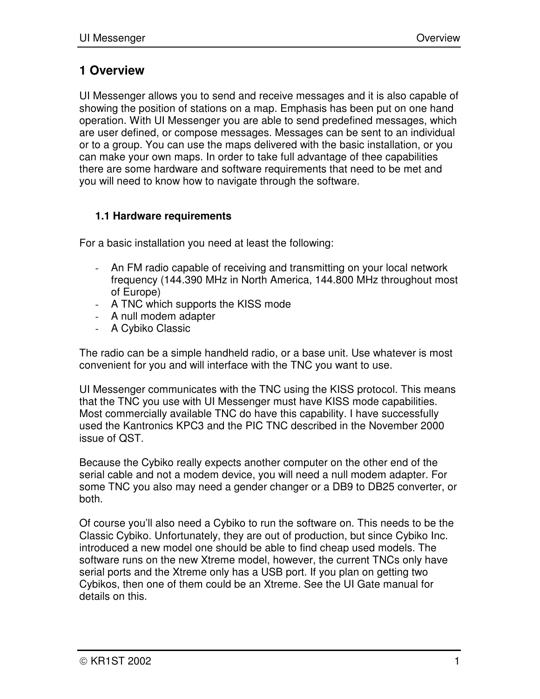## **1 Overview**

UI Messenger allows you to send and receive messages and it is also capable of showing the position of stations on a map. Emphasis has been put on one hand operation. With UI Messenger you are able to send predefined messages, which are user defined, or compose messages. Messages can be sent to an individual or to a group. You can use the maps delivered with the basic installation, or you can make your own maps. In order to take full advantage of thee capabilities there are some hardware and software requirements that need to be met and you will need to know how to navigate through the software.

#### **1.1 Hardware requirements**

For a basic installation you need at least the following:

- An FM radio capable of receiving and transmitting on your local network frequency (144.390 MHz in North America, 144.800 MHz throughout most of Europe)
- A TNC which supports the KISS mode
- A null modem adapter
- A Cybiko Classic

The radio can be a simple handheld radio, or a base unit. Use whatever is most convenient for you and will interface with the TNC you want to use.

UI Messenger communicates with the TNC using the KISS protocol. This means that the TNC you use with UI Messenger must have KISS mode capabilities. Most commercially available TNC do have this capability. I have successfully used the Kantronics KPC3 and the PIC TNC described in the November 2000 issue of QST.

Because the Cybiko really expects another computer on the other end of the serial cable and not a modem device, you will need a null modem adapter. For some TNC you also may need a gender changer or a DB9 to DB25 converter, or both.

Of course you'll also need a Cybiko to run the software on. This needs to be the Classic Cybiko. Unfortunately, they are out of production, but since Cybiko Inc. introduced a new model one should be able to find cheap used models. The software runs on the new Xtreme model, however, the current TNCs only have serial ports and the Xtreme only has a USB port. If you plan on getting two Cybikos, then one of them could be an Xtreme. See the UI Gate manual for details on this.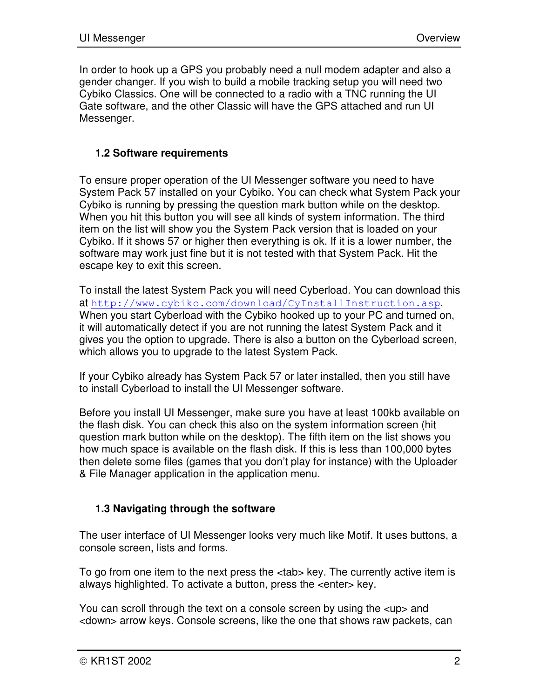In order to hook up a GPS you probably need a null modem adapter and also a gender changer. If you wish to build a mobile tracking setup you will need two Cybiko Classics. One will be connected to a radio with a TNC running the UI Gate software, and the other Classic will have the GPS attached and run UI Messenger.

#### **1.2 Software requirements**

To ensure proper operation of the UI Messenger software you need to have System Pack 57 installed on your Cybiko. You can check what System Pack your Cybiko is running by pressing the question mark button while on the desktop. When you hit this button you will see all kinds of system information. The third item on the list will show you the System Pack version that is loaded on your Cybiko. If it shows 57 or higher then everything is ok. If it is a lower number, the software may work just fine but it is not tested with that System Pack. Hit the escape key to exit this screen.

To install the latest System Pack you will need Cyberload. You can download this at http://www.cybiko.com/download/CyInstallInstruction.asp. When you start Cyberload with the Cybiko hooked up to your PC and turned on, it will automatically detect if you are not running the latest System Pack and it gives you the option to upgrade. There is also a button on the Cyberload screen, which allows you to upgrade to the latest System Pack.

If your Cybiko already has System Pack 57 or later installed, then you still have to install Cyberload to install the UI Messenger software.

Before you install UI Messenger, make sure you have at least 100kb available on the flash disk. You can check this also on the system information screen (hit question mark button while on the desktop). The fifth item on the list shows you how much space is available on the flash disk. If this is less than 100,000 bytes then delete some files (games that you don't play for instance) with the Uploader & File Manager application in the application menu.

#### **1.3 Navigating through the software**

The user interface of UI Messenger looks very much like Motif. It uses buttons, a console screen, lists and forms.

To go from one item to the next press the <tab> key. The currently active item is always highlighted. To activate a button, press the <enter> key.

You can scroll through the text on a console screen by using the <up> and <down> arrow keys. Console screens, like the one that shows raw packets, can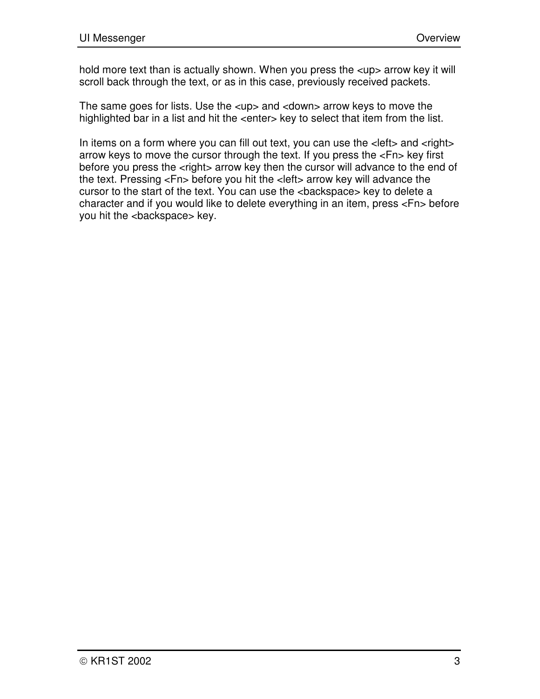hold more text than is actually shown. When you press the <up> arrow key it will scroll back through the text, or as in this case, previously received packets.

The same goes for lists. Use the <up> and <down> arrow keys to move the highlighted bar in a list and hit the <enter> key to select that item from the list.

In items on a form where you can fill out text, you can use the <left> and <right> arrow keys to move the cursor through the text. If you press the <Fn> key first before you press the <right> arrow key then the cursor will advance to the end of the text. Pressing <Fn> before you hit the <left> arrow key will advance the cursor to the start of the text. You can use the <backspace> key to delete a character and if you would like to delete everything in an item, press <Fn> before you hit the <br/>backspace> key.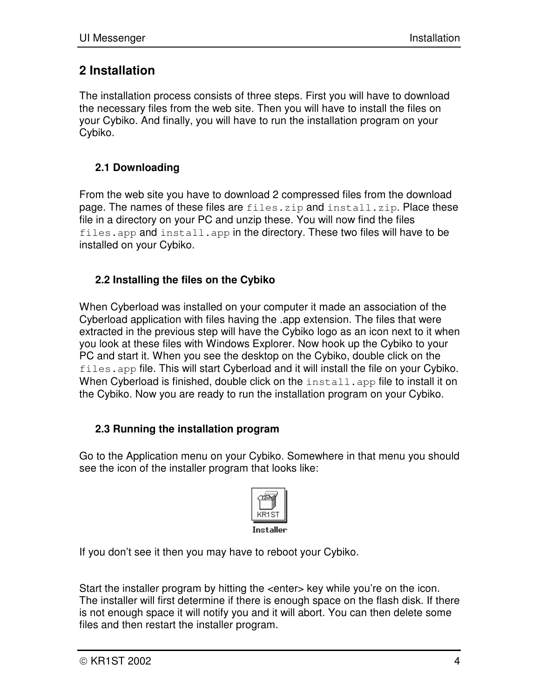## **2 Installation**

The installation process consists of three steps. First you will have to download the necessary files from the web site. Then you will have to install the files on your Cybiko. And finally, you will have to run the installation program on your Cybiko.

#### **2.1 Downloading**

From the web site you have to download 2 compressed files from the download page. The names of these files are files.zip and install.zip. Place these file in a directory on your PC and unzip these. You will now find the files files.app and install.app in the directory. These two files will have to be installed on your Cybiko.

#### **2.2 Installing the files on the Cybiko**

When Cyberload was installed on your computer it made an association of the Cyberload application with files having the .app extension. The files that were extracted in the previous step will have the Cybiko logo as an icon next to it when you look at these files with Windows Explorer. Now hook up the Cybiko to your PC and start it. When you see the desktop on the Cybiko, double click on the files.app file. This will start Cyberload and it will install the file on your Cybiko. When Cyberload is finished, double click on the install.app file to install it on the Cybiko. Now you are ready to run the installation program on your Cybiko.

#### **2.3 Running the installation program**

Go to the Application menu on your Cybiko. Somewhere in that menu you should see the icon of the installer program that looks like:



If you don't see it then you may have to reboot your Cybiko.

Start the installer program by hitting the <enter> key while you're on the icon. The installer will first determine if there is enough space on the flash disk. If there is not enough space it will notify you and it will abort. You can then delete some files and then restart the installer program.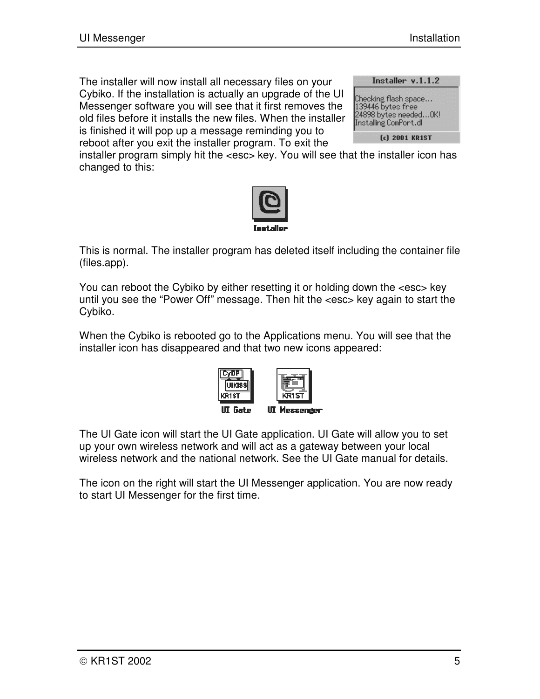The installer will now install all necessary files on your Cybiko. If the installation is actually an upgrade of the UI Messenger software you will see that it first removes the old files before it installs the new files. When the installer is finished it will pop up a message reminding you to reboot after you exit the installer program. To exit the

| Installer v.1.1.2                                                                             |  |
|-----------------------------------------------------------------------------------------------|--|
| [Checking flash space<br>139446 bytes free<br>24898 bytes needed OK!<br>Installing ComPort.dl |  |
| (c) 2001 KR1ST                                                                                |  |

installer program simply hit the <esc> key. You will see that the installer icon has changed to this:



This is normal. The installer program has deleted itself including the container file (files.app).

You can reboot the Cybiko by either resetting it or holding down the <esc> key until you see the "Power Off" message. Then hit the <esc> key again to start the Cybiko.

When the Cybiko is rebooted go to the Applications menu. You will see that the installer icon has disappeared and that two new icons appeared:



The UI Gate icon will start the UI Gate application. UI Gate will allow you to set up your own wireless network and will act as a gateway between your local wireless network and the national network. See the UI Gate manual for details.

The icon on the right will start the UI Messenger application. You are now ready to start UI Messenger for the first time.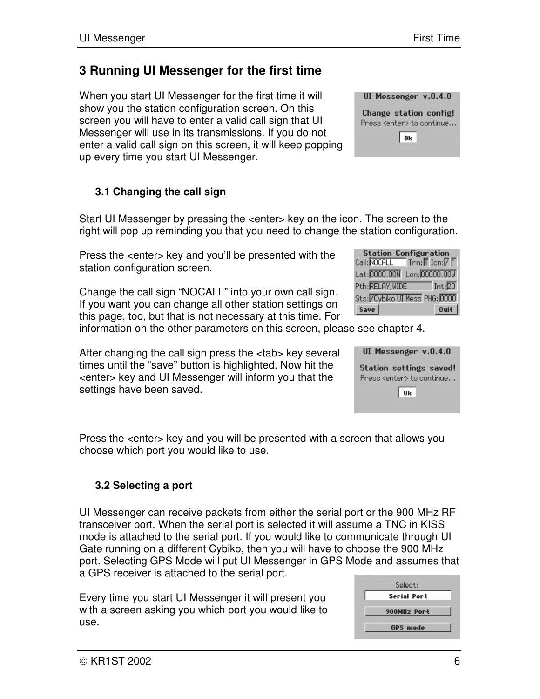## **3 Running UI Messenger for the first time**

When you start UI Messenger for the first time it will show you the station configuration screen. On this screen you will have to enter a valid call sign that UI Messenger will use in its transmissions. If you do not enter a valid call sign on this screen, it will keep popping up every time you start UI Messenger.

## **3.1 Changing the call sign**

Start UI Messenger by pressing the <enter> key on the icon. The screen to the right will pop up reminding you that you need to change the station configuration.

Press the <enter> key and you'll be presented with the station configuration screen.

Change the call sign "NOCALL" into your own call sign. If you want you can change all other station settings on this page, too, but that is not necessary at this time. For

information on the other parameters on this screen, please see chapter 4.

After changing the call sign press the <tab> key several times until the "save" button is highlighted. Now hit the <enter> key and UI Messenger will inform you that the settings have been saved.

Press the <enter> key and you will be presented with a screen that allows you choose which port you would like to use.

## **3.2 Selecting a port**

UI Messenger can receive packets from either the serial port or the 900 MHz RF transceiver port. When the serial port is selected it will assume a TNC in KISS mode is attached to the serial port. If you would like to communicate through UI Gate running on a different Cybiko, then you will have to choose the 900 MHz port. Selecting GPS Mode will put UI Messenger in GPS Mode and assumes that a GPS receiver is attached to the serial port.

Every time you start UI Messenger it will present you with a screen asking you which port you would like to use.

| <b>Station Configuration</b><br>Call: NOCALL<br>$\mathsf{Trm}:\!\overline{\mathbb{F}}$ Icn: $\overline{\mathbb{F}}$ $\overline{\mathbb{F}}$ |           |
|---------------------------------------------------------------------------------------------------------------------------------------------|-----------|
| Lat: 0000.00N Lon: 00000.00W                                                                                                                |           |
| Pth: RELAY, WIDE                                                                                                                            | Int: $20$ |
| Sts: / Cybiko UI Mess PHG: 0000                                                                                                             |           |
| Save                                                                                                                                        | Quit      |

UI Messenger v.0.4.0 Station settings saved! Press <enter> to continue...  $0<sub>k</sub>$ 

UI Messenger v.0.4.0 Change station config! Press <enter> to continue... | ок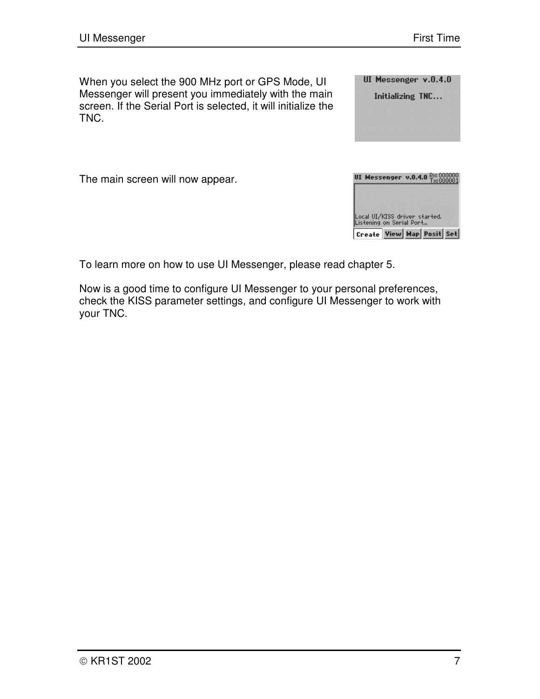When you select the 900 MHz port or GPS Mode, UI Messenger will present you immediately with the main screen. If the Serial Port is selected, it will initialize the TNC.

UI Messenger v.0.4.0

Initializing TNC...

The main screen will now appear.



To learn more on how to use UI Messenger, please read chapter 5.

Now is a good time to configure UI Messenger to your personal preferences, check the KISS parameter settings, and configure UI Messenger to work with your TNC.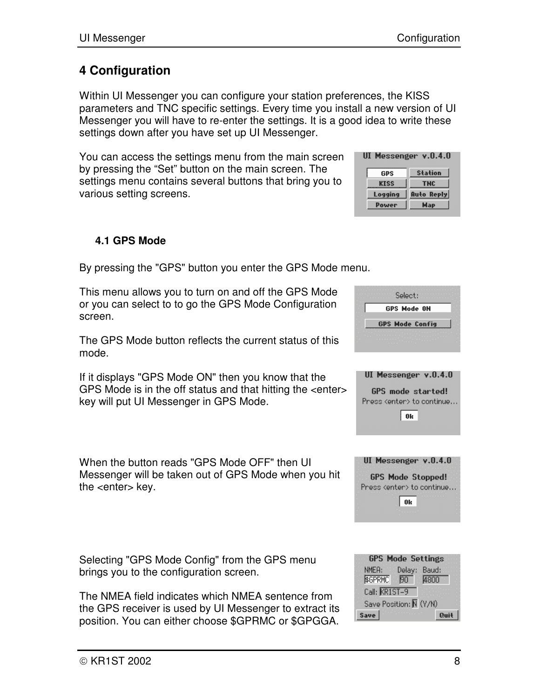## **4 Configuration**

Within UI Messenger you can configure your station preferences, the KISS parameters and TNC specific settings. Every time you install a new version of UI Messenger you will have to re-enter the settings. It is a good idea to write these settings down after you have set up UI Messenger.

You can access the settings menu from the main screen by pressing the "Set" button on the main screen. The settings menu contains several buttons that bring you to various setting screens.

#### **4.1 GPS Mode**

By pressing the "GPS" button you enter the GPS Mode menu.

This menu allows you to turn on and off the GPS Mode or you can select to to go the GPS Mode Configuration screen.

The GPS Mode button reflects the current status of this mode.

If it displays "GPS Mode ON" then you know that the GPS Mode is in the off status and that hitting the <enter> key will put UI Messenger in GPS Mode.

When the button reads "GPS Mode OFF" then UI Messenger will be taken out of GPS Mode when you hit the <enter> key.

Selecting "GPS Mode Config" from the GPS menu brings you to the configuration screen.

The NMEA field indicates which NMEA sentence from the GPS receiver is used by UI Messenger to extract its position. You can either choose \$GPRMC or \$GPGGA.

|               | <b>GPS Mode Settings</b> |      |
|---------------|--------------------------|------|
| NMEA:         | Delay: Baud:             |      |
| \$GPRMC 50    |                          | 4800 |
| Call: KRIST-9 |                          |      |
|               | Save Position: N (Y/N)   |      |
| Save          |                          |      |

| UI Messenger v.O.4.O |  |
|----------------------|--|

| GPS          | <b>Station</b>    |  |
|--------------|-------------------|--|
| KISS         | TNC.              |  |
| Logging      | <b>Auto Reply</b> |  |
| <b>Power</b> | <b>Map</b>        |  |

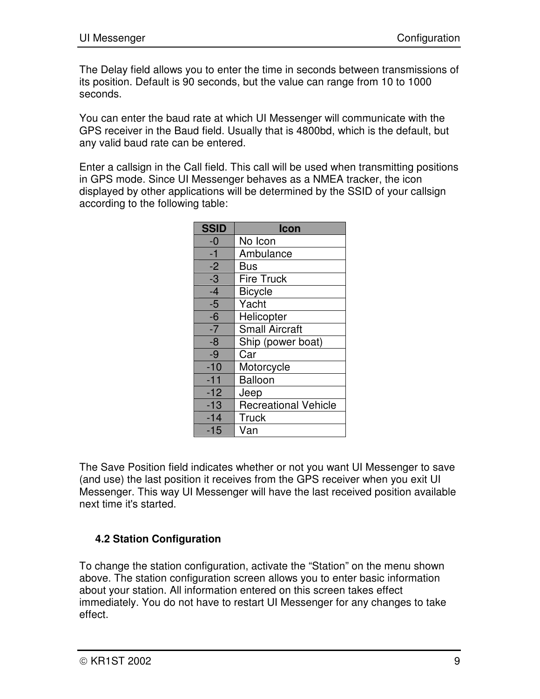The Delay field allows you to enter the time in seconds between transmissions of its position. Default is 90 seconds, but the value can range from 10 to 1000 seconds.

You can enter the baud rate at which UI Messenger will communicate with the GPS receiver in the Baud field. Usually that is 4800bd, which is the default, but any valid baud rate can be entered.

Enter a callsign in the Call field. This call will be used when transmitting positions in GPS mode. Since UI Messenger behaves as a NMEA tracker, the icon displayed by other applications will be determined by the SSID of your callsign according to the following table:

| <b>SSID</b>     | Icon                        |
|-----------------|-----------------------------|
| $-0$            | No Icon                     |
| $-1$            | Ambulance                   |
| $-2$            | <b>Bus</b>                  |
| $\overline{-3}$ | <b>Fire Truck</b>           |
| $-4$            | <b>Bicycle</b>              |
| $-5$            | Yacht                       |
| $-6$            | Helicopter                  |
| $-7$            | <b>Small Aircraft</b>       |
| $-8$            | Ship (power boat)           |
| $-9$            | Car                         |
| $-10$           | Motorcycle                  |
| $-11$           | <b>Balloon</b>              |
| $-12$           | Jeep                        |
| $-13$           | <b>Recreational Vehicle</b> |
| $-14$           | <b>Truck</b>                |
| $-15$           | Van                         |

The Save Position field indicates whether or not you want UI Messenger to save (and use) the last position it receives from the GPS receiver when you exit UI Messenger. This way UI Messenger will have the last received position available next time it's started.

#### **4.2 Station Configuration**

To change the station configuration, activate the "Station" on the menu shown above. The station configuration screen allows you to enter basic information about your station. All information entered on this screen takes effect immediately. You do not have to restart UI Messenger for any changes to take effect.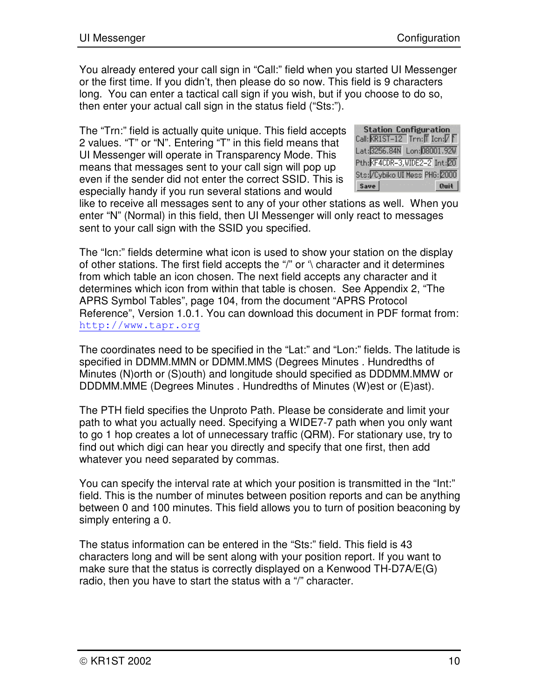You already entered your call sign in "Call:" field when you started UI Messenger or the first time. If you didn't, then please do so now. This field is 9 characters long. You can enter a tactical call sign if you wish, but if you choose to do so, then enter your actual call sign in the status field ("Sts:").

The "Trn:" field is actually quite unique. This field accepts 2 values. "T" or "N". Entering "T" in this field means that UI Messenger will operate in Transparency Mode. This means that messages sent to your call sign will pop up even if the sender did not enter the correct SSID. This is especially handy if you run several stations and would

**Station Configuration** Call:  $\overline{\text{KRIST}-12}$  Trn:  $\overline{\text{Tr}}$  Icn:  $\overline{V}$   $\overline{\text{F}}$ Lat: 3256.84N Lon: 08001.92W Pth: KF4CDR-3, WIDE2-2 Int: 20 Sts: / Cybiko UI Mess PHG: 2000  $Save$  $\alpha$ uit

like to receive all messages sent to any of your other stations as well. When you enter "N" (Normal) in this field, then UI Messenger will only react to messages sent to your call sign with the SSID you specified.

The "Icn:" fields determine what icon is used to show your station on the display of other stations. The first field accepts the "/" or '\ character and it determines from which table an icon chosen. The next field accepts any character and it determines which icon from within that table is chosen. See Appendix 2, "The APRS Symbol Tables", page 104, from the document "APRS Protocol Reference", Version 1.0.1. You can download this document in PDF format from: http://www.tapr.org

The coordinates need to be specified in the "Lat:" and "Lon:" fields. The latitude is specified in DDMM.MMN or DDMM.MMS (Degrees Minutes . Hundredths of Minutes (N)orth or (S)outh) and longitude should specified as DDDMM.MMW or DDDMM.MME (Degrees Minutes . Hundredths of Minutes (W)est or (E)ast).

The PTH field specifies the Unproto Path. Please be considerate and limit your path to what you actually need. Specifying a WIDE7-7 path when you only want to go 1 hop creates a lot of unnecessary traffic (QRM). For stationary use, try to find out which digi can hear you directly and specify that one first, then add whatever you need separated by commas.

You can specify the interval rate at which your position is transmitted in the "Int:" field. This is the number of minutes between position reports and can be anything between 0 and 100 minutes. This field allows you to turn of position beaconing by simply entering a 0.

The status information can be entered in the "Sts:" field. This field is 43 characters long and will be sent along with your position report. If you want to make sure that the status is correctly displayed on a Kenwood TH-D7A/E(G) radio, then you have to start the status with a "/" character.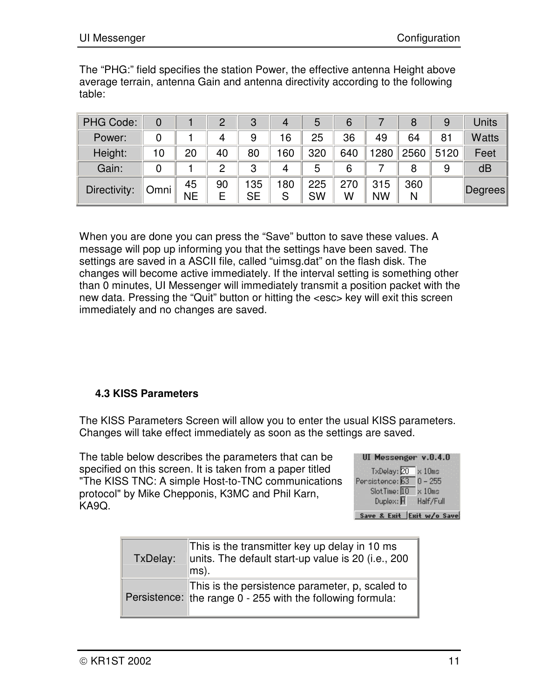The "PHG:" field specifies the station Power, the effective antenna Height above average terrain, antenna Gain and antenna directivity according to the following table:

| <b>PHG Code:</b> |      |                 | ႒       | 3        | 4       | 5         | 6        |                  | 8        | 9    | Units        |
|------------------|------|-----------------|---------|----------|---------|-----------|----------|------------------|----------|------|--------------|
| Power:           |      |                 | 4       | 9        | 16      | 25        | 36       | 49               | 64       | 81   | <b>Watts</b> |
| Height:          | 10   | 20              | 40      | 80       | 60      | 320       | 640      | 1280             | 2560     | 5120 | Feet         |
| Gain:            |      |                 | っ       | 3        | 4       | 5         | 6        |                  | 8        | 9    | dB           |
| Directivity:     | Omni | 45<br><b>NE</b> | 90<br>E | 35<br>SE | 80<br>S | 225<br>SW | 270<br>W | 315<br><b>NW</b> | 360<br>N |      | Degrees      |

When you are done you can press the "Save" button to save these values. A message will pop up informing you that the settings have been saved. The settings are saved in a ASCII file, called "uimsg.dat" on the flash disk. The changes will become active immediately. If the interval setting is something other than 0 minutes, UI Messenger will immediately transmit a position packet with the new data. Pressing the "Quit" button or hitting the <esc> key will exit this screen immediately and no changes are saved.

#### **4.3 KISS Parameters**

The KISS Parameters Screen will allow you to enter the usual KISS parameters. Changes will take effect immediately as soon as the settings are saved.

The table below describes the parameters that can be specified on this screen. It is taken from a paper titled "The KISS TNC: A simple Host-to-TNC communications protocol" by Mike Chepponis, K3MC and Phil Karn, KA9Q.

| UI Messenger v.O.4.O |                  |
|----------------------|------------------|
| TxDelay: 20          | $\times$ 10 $ms$ |
| Pensistence: 63      | $0 - 255$        |
| SlotTime: 10         | $\times$ 10 $ms$ |
| Duplex: H            | Half/Full        |

Save & Exit Exit w/o Save

| TxDelay: | This is the transmitter key up delay in 10 ms<br>units. The default start-up value is 20 (i.e., 200<br>$\vert$ ms). |
|----------|---------------------------------------------------------------------------------------------------------------------|
|          | This is the persistence parameter, p, scaled to<br>Persistence: the range 0 - 255 with the following formula:       |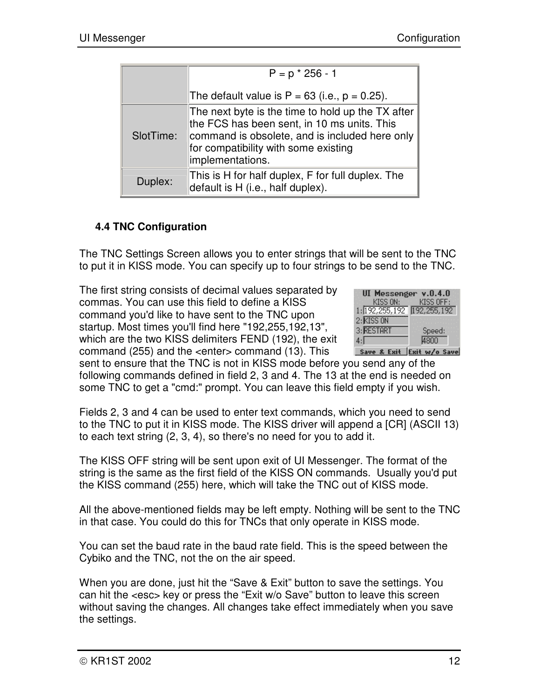|           | $P = p * 256 - 1$                                                                                                                                                                                              |
|-----------|----------------------------------------------------------------------------------------------------------------------------------------------------------------------------------------------------------------|
|           | The default value is $P = 63$ (i.e., $p = 0.25$ ).                                                                                                                                                             |
| SlotTime: | The next byte is the time to hold up the TX after<br>the FCS has been sent, in 10 ms units. This<br>command is obsolete, and is included here only<br>for compatibility with some existing<br>implementations. |
| Duplex:   | This is H for half duplex, F for full duplex. The<br>default is H (i.e., half duplex).                                                                                                                         |

#### **4.4 TNC Configuration**

The TNC Settings Screen allows you to enter strings that will be sent to the TNC to put it in KISS mode. You can specify up to four strings to be send to the TNC.

The first string consists of decimal values separated by commas. You can use this field to define a KISS command you'd like to have sent to the TNC upon startup. Most times you'll find here "192,255,192,13", which are the two KISS delimiters FEND (192), the exit command (255) and the <enter> command (13). This



Save & Exit Exit w/o Save

sent to ensure that the TNC is not in KISS mode before you send any of the following commands defined in field 2, 3 and 4. The 13 at the end is needed on some TNC to get a "cmd:" prompt. You can leave this field empty if you wish.

Fields 2, 3 and 4 can be used to enter text commands, which you need to send to the TNC to put it in KISS mode. The KISS driver will append a [CR] (ASCII 13) to each text string (2, 3, 4), so there's no need for you to add it.

The KISS OFF string will be sent upon exit of UI Messenger. The format of the string is the same as the first field of the KISS ON commands. Usually you'd put the KISS command (255) here, which will take the TNC out of KISS mode.

All the above-mentioned fields may be left empty. Nothing will be sent to the TNC in that case. You could do this for TNCs that only operate in KISS mode.

You can set the baud rate in the baud rate field. This is the speed between the Cybiko and the TNC, not the on the air speed.

When you are done, just hit the "Save & Exit" button to save the settings. You can hit the <esc> key or press the "Exit w/o Save" button to leave this screen without saving the changes. All changes take effect immediately when you save the settings.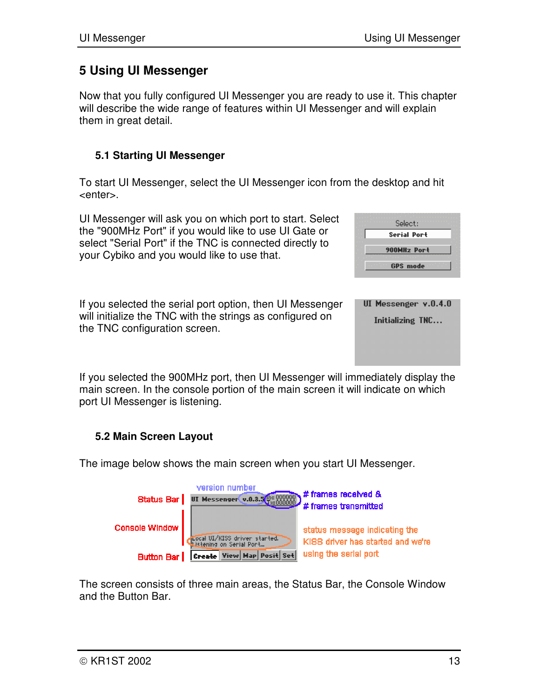## **5 Using UI Messenger**

Now that you fully configured UI Messenger you are ready to use it. This chapter will describe the wide range of features within UI Messenger and will explain them in great detail.

#### **5.1 Starting UI Messenger**

To start UI Messenger, select the UI Messenger icon from the desktop and hit <enter>.

UI Messenger will ask you on which port to start. Select the "900MHz Port" if you would like to use UI Gate or select "Serial Port" if the TNC is connected directly to your Cybiko and you would like to use that.

| If you selected the serial port option, then UI Messenger |
|-----------------------------------------------------------|
| will initialize the TNC with the strings as configured on |
| the TNC configuration screen.                             |

|  | GPS mode |                      |  |
|--|----------|----------------------|--|
|  |          |                      |  |
|  |          |                      |  |
|  |          |                      |  |
|  |          |                      |  |
|  |          | UI Messenger v.O.4.O |  |
|  |          |                      |  |

Select: **Serial Port** 900MHz Port

Initializing TNC...

If you selected the 900MHz port, then UI Messenger will immediately display the main screen. In the console portion of the main screen it will indicate on which port UI Messenger is listening.

## **5.2 Main Screen Layout**

The image below shows the main screen when you start UI Messenger.



The screen consists of three main areas, the Status Bar, the Console Window and the Button Bar.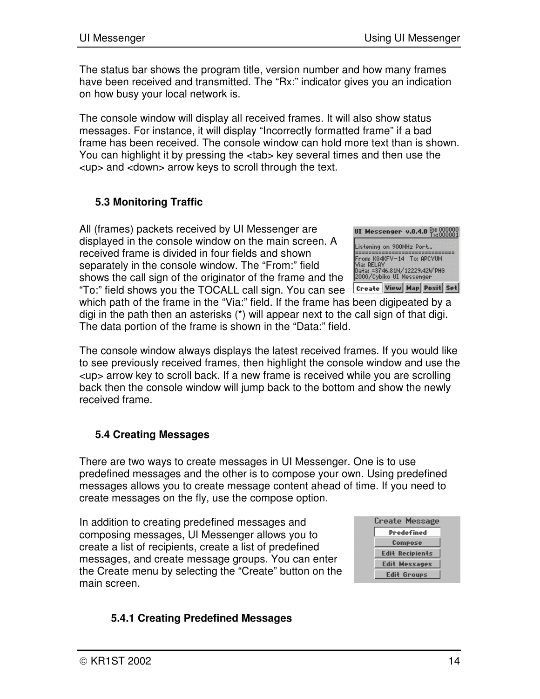The status bar shows the program title, version number and how many frames have been received and transmitted. The "Rx:" indicator gives you an indication on how busy your local network is.

The console window will display all received frames. It will also show status messages. For instance, it will display "Incorrectly formatted frame" if a bad frame has been received. The console window can hold more text than is shown. You can highlight it by pressing the <tab> key several times and then use the <up> and <down> arrow keys to scroll through the text.

## **5.3 Monitoring Traffic**

All (frames) packets received by UI Messenger are displayed in the console window on the main screen. A received frame is divided in four fields and shown separately in the console window. The "From:" field shows the call sign of the originator of the frame and the "To:" field shows you the TOCALL call sign. You can see

which path of the frame in the "Via:" field. If the frame has been digipeated by a digi in the path then an asterisks (\*) will appear next to the call sign of that digi. The data portion of the frame is shown in the "Data:" field.

The console window always displays the latest received frames. If you would like to see previously received frames, then highlight the console window and use the <up> arrow key to scroll back. If a new frame is received while you are scrolling back then the console window will jump back to the bottom and show the newly received frame.

#### **5.4 Creating Messages**

There are two ways to create messages in UI Messenger. One is to use predefined messages and the other is to compose your own. Using predefined messages allows you to create message content ahead of time. If you need to create messages on the fly, use the compose option.

In addition to creating predefined messages and composing messages, UI Messenger allows you to create a list of recipients, create a list of predefined messages, and create message groups. You can enter the Create menu by selecting the "Create" button on the main screen.



#### **5.4.1 Creating Predefined Messages**



Create View Map Posit Set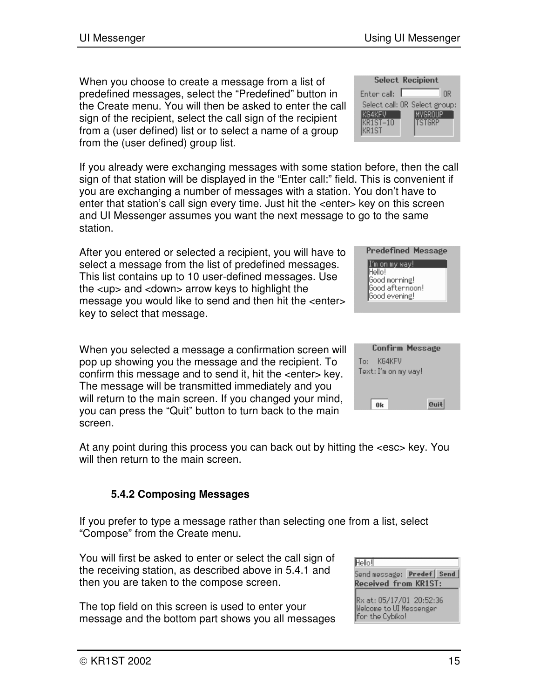When you choose to create a message from a list of predefined messages, select the "Predefined" button in the Create menu. You will then be asked to enter the call sign of the recipient, select the call sign of the recipient from a (user defined) list or to select a name of a group from the (user defined) group list.

If you already were exchanging messages with some station before, then the call sign of that station will be displayed in the "Enter call:" field. This is convenient if you are exchanging a number of messages with a station. You don't have to enter that station's call sign every time. Just hit the <enter> key on this screen and UI Messenger assumes you want the next message to go to the same station.

After you entered or selected a recipient, you will have to select a message from the list of predefined messages. This list contains up to 10 user-defined messages. Use the <up> and <down> arrow keys to highlight the message you would like to send and then hit the <enter> key to select that message.

When you selected a message a confirmation screen will pop up showing you the message and the recipient. To confirm this message and to send it, hit the <enter> key. The message will be transmitted immediately and you will return to the main screen. If you changed your mind, you can press the "Quit" button to turn back to the main screen.

At any point during this process you can back out by hitting the <esc> key. You will then return to the main screen.

## **5.4.2 Composing Messages**

If you prefer to type a message rather than selecting one from a list, select "Compose" from the Create menu.

You will first be asked to enter or select the call sign of the receiving station, as described above in 5.4.1 and then you are taken to the compose screen.

The top field on this screen is used to enter your message and the bottom part shows you all messages

| Hello!                                                      |                           |
|-------------------------------------------------------------|---------------------------|
|                                                             | Send message: Predef Send |
| Received from KR1ST:                                        |                           |
| Rx at: 05/17/01 20:52:36<br><b>Uplease to UI Monocondon</b> |                           |

for the Cybiko!

Confirm Message To: KG4KFV Text: I'm on my way!

 $0<sub>k</sub>$ 

Quit



| <b>Select Recipient</b> |  |                               |  |
|-------------------------|--|-------------------------------|--|
| Enter call:             |  | ΠR                            |  |
|                         |  | Select call: OR Select group: |  |
| KG4KFV                  |  | IMYGROUP                      |  |
| $KR1ST-10$<br>KR1ST     |  | <b>ITSTGRP</b>                |  |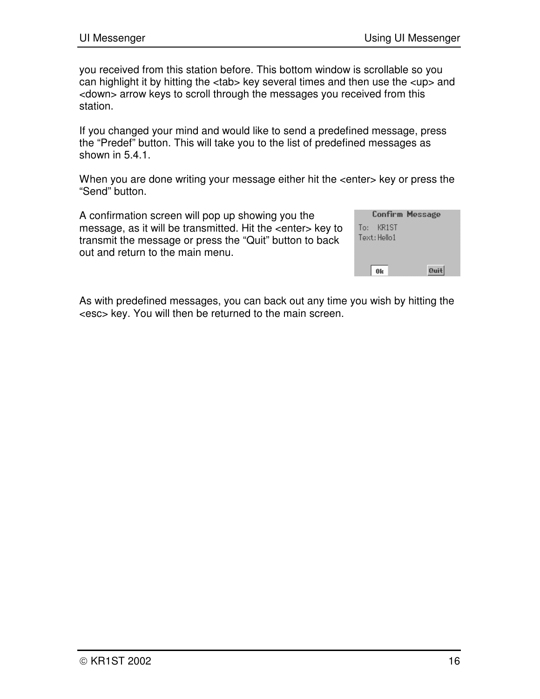you received from this station before. This bottom window is scrollable so you can highlight it by hitting the <tab> key several times and then use the <up> and <down> arrow keys to scroll through the messages you received from this station.

If you changed your mind and would like to send a predefined message, press the "Predef" button. This will take you to the list of predefined messages as shown in 5.4.1.

When you are done writing your message either hit the <enter> key or press the "Send" button.

A confirmation screen will pop up showing you the message, as it will be transmitted. Hit the <enter> key to transmit the message or press the "Quit" button to back out and return to the main menu.

|              | Confirm Message |
|--------------|-----------------|
| To: KR1ST    |                 |
| Text: Hello1 |                 |
|              |                 |
|              |                 |
|              | Quit            |

As with predefined messages, you can back out any time you wish by hitting the <esc> key. You will then be returned to the main screen.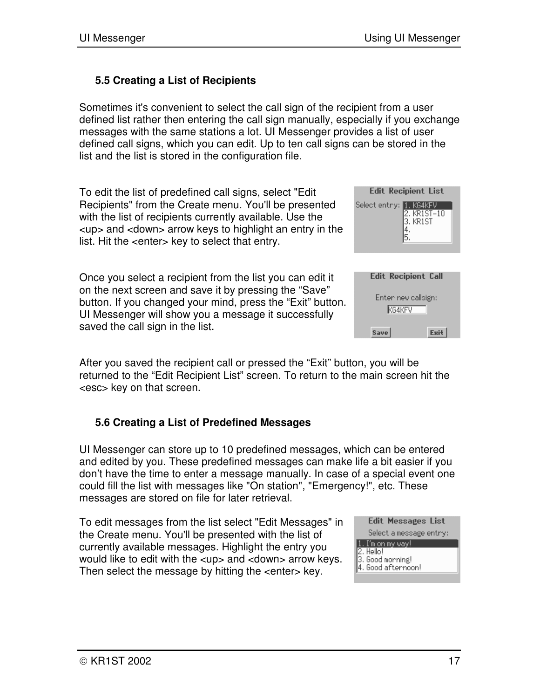#### **5.5 Creating a List of Recipients**

Sometimes it's convenient to select the call sign of the recipient from a user defined list rather then entering the call sign manually, especially if you exchange messages with the same stations a lot. UI Messenger provides a list of user defined call signs, which you can edit. Up to ten call signs can be stored in the list and the list is stored in the configuration file.

To edit the list of predefined call signs, select "Edit Recipients" from the Create menu. You'll be presented with the list of recipients currently available. Use the <up> and <down> arrow keys to highlight an entry in the list. Hit the <enter> key to select that entry.

Once you select a recipient from the list you can edit it on the next screen and save it by pressing the "Save" button. If you changed your mind, press the "Exit" button. UI Messenger will show you a message it successfully saved the call sign in the list.

| <b>Edit Recipient List</b>                         |  |
|----------------------------------------------------|--|
| Select entry: 1. KG4KFV<br>2. KR1ST-10<br>3. KR1ST |  |
|                                                    |  |

| <b>Edit Recipient Call</b> |             |
|----------------------------|-------------|
| Enter new callsign:        |             |
| KG4KFV                     |             |
| <b>Save</b>                | <b>Fxit</b> |

After you saved the recipient call or pressed the "Exit" button, you will be returned to the "Edit Recipient List" screen. To return to the main screen hit the <esc> key on that screen.

#### **5.6 Creating a List of Predefined Messages**

UI Messenger can store up to 10 predefined messages, which can be entered and edited by you. These predefined messages can make life a bit easier if you don't have the time to enter a message manually. In case of a special event one could fill the list with messages like "On station", "Emergency!", etc. These messages are stored on file for later retrieval.

To edit messages from the list select "Edit Messages" in the Create menu. You'll be presented with the list of currently available messages. Highlight the entry you would like to edit with the <up> and <down> arrow keys. Then select the message by hitting the <enter> key.

| Edit Messages List                                                       |
|--------------------------------------------------------------------------|
| Select a message entry:                                                  |
| 1. I'm on my way!<br>2. Hello!<br>3. Good morning!<br>4. Good afternoon! |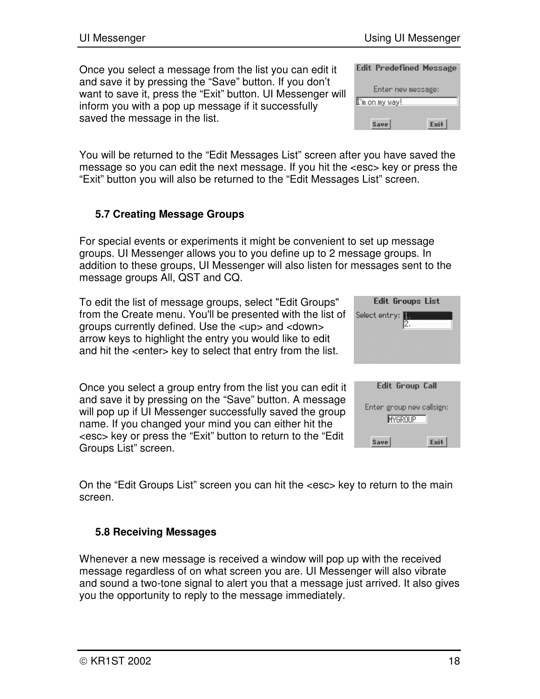Once you select a message from the list you can edit it and save it by pressing the "Save" button. If you don't want to save it, press the "Exit" button. UI Messenger will inform you with a pop up message if it successfully saved the message in the list.

| Edit Predefined Message |             |
|-------------------------|-------------|
| Enter new message:      |             |
| I'm on my way!          |             |
| <b>Save</b>             | <b>Exit</b> |

You will be returned to the "Edit Messages List" screen after you have saved the message so you can edit the next message. If you hit the <esc> key or press the "Exit" button you will also be returned to the "Edit Messages List" screen.

## **5.7 Creating Message Groups**

For special events or experiments it might be convenient to set up message groups. UI Messenger allows you to you define up to 2 message groups. In addition to these groups, UI Messenger will also listen for messages sent to the message groups All, QST and CQ.

To edit the list of message groups, select "Edit Groups" from the Create menu. You'll be presented with the list of groups currently defined. Use the <up> and <down> arrow keys to highlight the entry you would like to edit and hit the <enter> key to select that entry from the list.

Once you select a group entry from the list you can edit it and save it by pressing on the "Save" button. A message will pop up if UI Messenger successfully saved the group name. If you changed your mind you can either hit the <esc> key or press the "Exit" button to return to the "Edit Groups List" screen.

| <b>Edit Groups List</b>                     |
|---------------------------------------------|
| Select entry:<br>2.                         |
|                                             |
| Edit Group Call                             |
| Enten group new callsign:<br><b>MYGROUP</b> |
| Save<br>Exit                                |

On the "Edit Groups List" screen you can hit the <esc> key to return to the main screen.

#### **5.8 Receiving Messages**

Whenever a new message is received a window will pop up with the received message regardless of on what screen you are. UI Messenger will also vibrate and sound a two-tone signal to alert you that a message just arrived. It also gives you the opportunity to reply to the message immediately.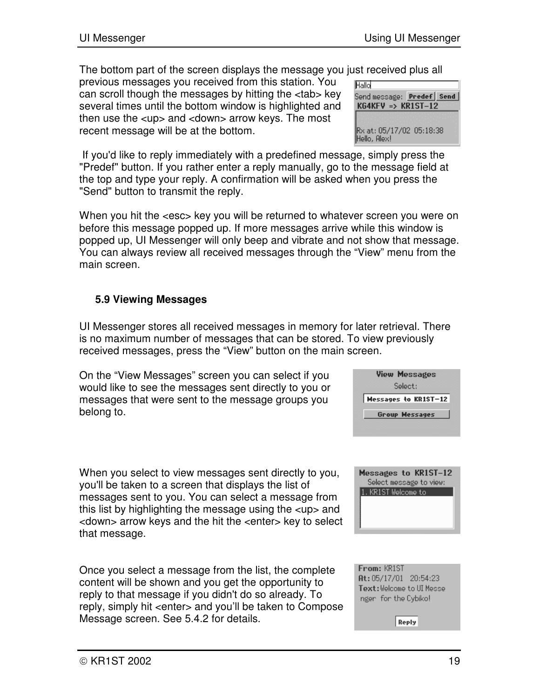The bottom part of the screen displays the message you just received plus all

previous messages you received from this station. You can scroll though the messages by hitting the <tab> key several times until the bottom window is highlighted and then use the <up> and <down> arrow keys. The most recent message will be at the bottom.

| Hallo                                    |                           |
|------------------------------------------|---------------------------|
| $KG4KFV \Rightarrow KR1ST-12$            | Send message: Predef Send |
|                                          |                           |
| Rx at: 05/17/02 05:18:38<br>Hello, Alex! |                           |

If you'd like to reply immediately with a predefined message, simply press the "Predef" button. If you rather enter a reply manually, go to the message field at the top and type your reply. A confirmation will be asked when you press the "Send" button to transmit the reply.

When you hit the <esc> key you will be returned to whatever screen you were on before this message popped up. If more messages arrive while this window is popped up, UI Messenger will only beep and vibrate and not show that message. You can always review all received messages through the "View" menu from the main screen.

#### **5.9 Viewing Messages**

UI Messenger stores all received messages in memory for later retrieval. There is no maximum number of messages that can be stored. To view previously received messages, press the "View" button on the main screen.

On the "View Messages" screen you can select if you would like to see the messages sent directly to you or messages that were sent to the message groups you belong to.

When you select to view messages sent directly to you, you'll be taken to a screen that displays the list of messages sent to you. You can select a message from this list by highlighting the message using the <up> and <down> arrow keys and the hit the <enter> key to select that message.

Once you select a message from the list, the complete content will be shown and you get the opportunity to reply to that message if you didn't do so already. To reply, simply hit <enter> and you'll be taken to Compose Message screen. See 5.4.2 for details.





From: KR1ST At: 05/17/01 20:54:23 Text: Welcome to UI Messe ngen for the Cybiko!

**Reply**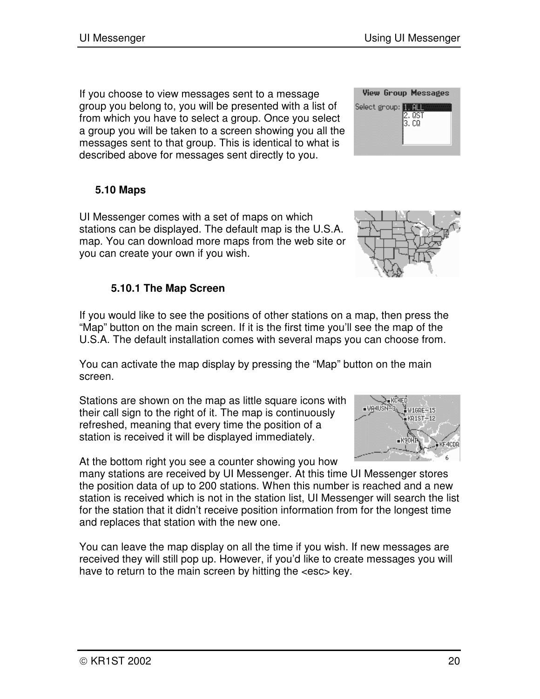If you choose to view messages sent to a message group you belong to, you will be presented with a list of from which you have to select a group. Once you select a group you will be taken to a screen showing you all the messages sent to that group. This is identical to what is described above for messages sent directly to you.

#### **5.10 Maps**

UI Messenger comes with a set of maps on which stations can be displayed. The default map is the U.S.A. map. You can download more maps from the web site or you can create your own if you wish.

#### **5.10.1 The Map Screen**

If you would like to see the positions of other stations on a map, then press the "Map" button on the main screen. If it is the first time you'll see the map of the U.S.A. The default installation comes with several maps you can choose from.

You can activate the map display by pressing the "Map" button on the main screen.

Stations are shown on the map as little square icons with their call sign to the right of it. The map is continuously refreshed, meaning that every time the position of a station is received it will be displayed immediately.

At the bottom right you see a counter showing you how

many stations are received by UI Messenger. At this time UI Messenger stores the position data of up to 200 stations. When this number is reached and a new station is received which is not in the station list, UI Messenger will search the list for the station that it didn't receive position information from for the longest time and replaces that station with the new one.

You can leave the map display on all the time if you wish. If new messages are received they will still pop up. However, if you'd like to create messages you will have to return to the main screen by hitting the <esc> key.





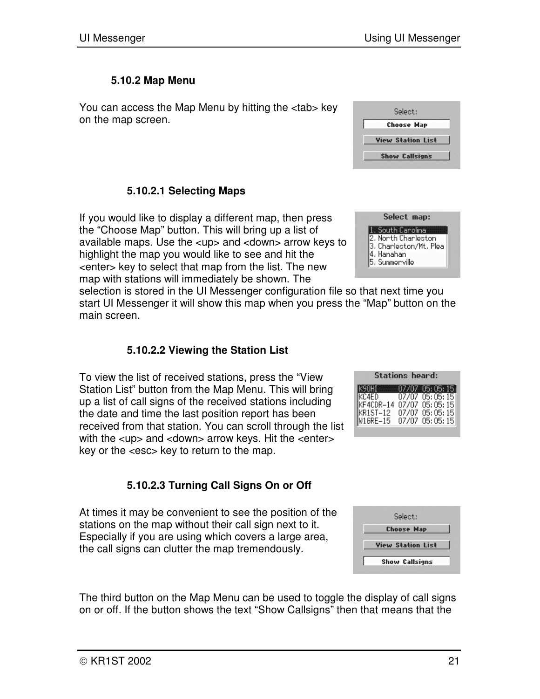Select: **Choose Map View Station List Show Callsigns** 

#### **5.10.2 Map Menu**

You can access the Map Menu by hitting the <tab> key on the map screen.

#### **5.10.2.1 Selecting Maps**

If you would like to display a different map, then press the "Choose Map" button. This will bring up a list of available maps. Use the <up> and <down> arrow keys to highlight the map you would like to see and hit the <enter> key to select that map from the list. The new map with stations will immediately be shown. The

selection is stored in the UI Messenger configuration file so that next time you start UI Messenger it will show this map when you press the "Map" button on the main screen.

#### **5.10.2.2 Viewing the Station List**

To view the list of received stations, press the "View Station List" button from the Map Menu. This will bring up a list of call signs of the received stations including the date and time the last position report has been received from that station. You can scroll through the list with the  $\langle$ up and  $\langle$  down arrow keys. Hit the  $\langle$  enter key or the <esc> key to return to the map.

#### **5.10.2.3 Turning Call Signs On or Off**

At times it may be convenient to see the position of the stations on the map without their call sign next to it. Especially if you are using which covers a large area, the call signs can clutter the map tremendously.

The third button on the Map Menu can be used to toggle the display of call signs on or off. If the button shows the text "Show Callsigns" then that means that the



| <b>Stations heard:</b>         |  |                |  |
|--------------------------------|--|----------------|--|
| К90HI        07/07  05: 05: 15 |  |                |  |
| KC4ED                          |  | 07/07 05:05:15 |  |
| KF4CDR-14                      |  | 07/07 05:05:15 |  |
| KR1ST-12                       |  | 07/07 05:05:15 |  |
| W1GRE-15                       |  | 07/07 05:05:15 |  |

| Select:                  |
|--------------------------|
| <b>Choose Map</b>        |
| <b>View Station List</b> |
| <b>Show Callsigns</b>    |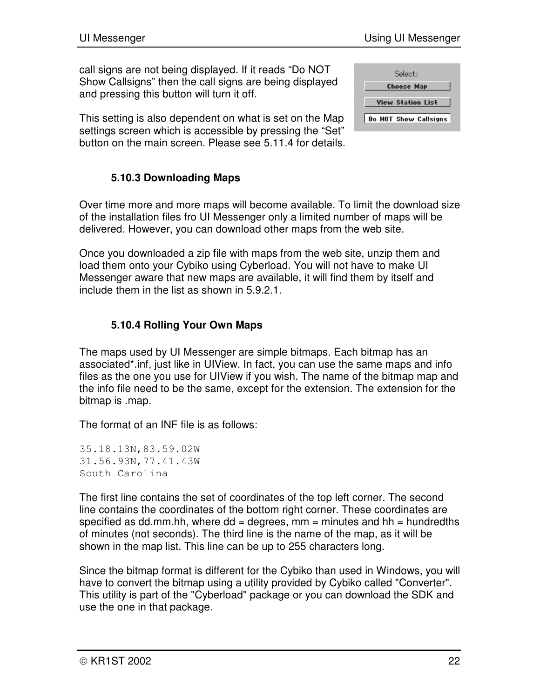call signs are not being displayed. If it reads "Do NOT Show Callsigns" then the call signs are being displayed and pressing this button will turn it off.

This setting is also dependent on what is set on the Map settings screen which is accessible by pressing the "Set" button on the main screen. Please see 5.11.4 for details.

| Select:                      |
|------------------------------|
| <b>Choose Map</b>            |
| <b>View Station List</b>     |
| <b>Do NOT Show Callsigns</b> |

#### **5.10.3 Downloading Maps**

Over time more and more maps will become available. To limit the download size of the installation files fro UI Messenger only a limited number of maps will be delivered. However, you can download other maps from the web site.

Once you downloaded a zip file with maps from the web site, unzip them and load them onto your Cybiko using Cyberload. You will not have to make UI Messenger aware that new maps are available, it will find them by itself and include them in the list as shown in 5.9.2.1.

#### **5.10.4 Rolling Your Own Maps**

The maps used by UI Messenger are simple bitmaps. Each bitmap has an associated\*.inf, just like in UIView. In fact, you can use the same maps and info files as the one you use for UIView if you wish. The name of the bitmap map and the info file need to be the same, except for the extension. The extension for the bitmap is .map.

The format of an INF file is as follows:

35.18.13N,83.59.02W 31.56.93N,77.41.43W South Carolina

The first line contains the set of coordinates of the top left corner. The second line contains the coordinates of the bottom right corner. These coordinates are specified as dd.mm.hh, where  $dd = degrees$ , mm = minutes and hh = hundredths of minutes (not seconds). The third line is the name of the map, as it will be shown in the map list. This line can be up to 255 characters long.

Since the bitmap format is different for the Cybiko than used in Windows, you will have to convert the bitmap using a utility provided by Cybiko called "Converter". This utility is part of the "Cyberload" package or you can download the SDK and use the one in that package.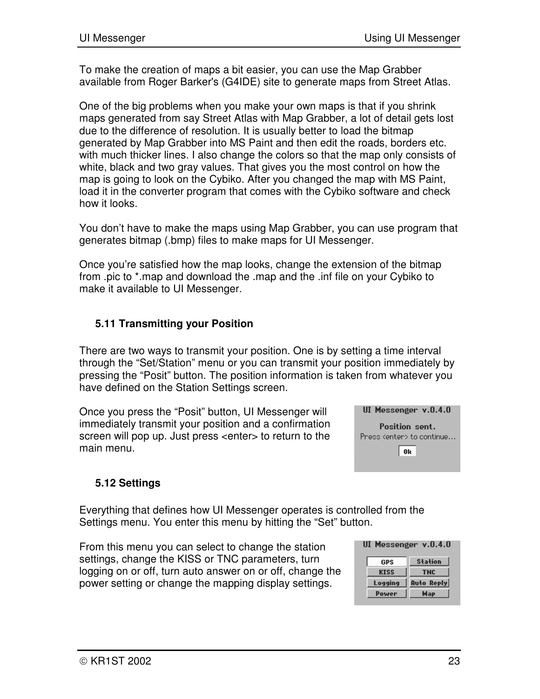To make the creation of maps a bit easier, you can use the Map Grabber available from Roger Barker's (G4IDE) site to generate maps from Street Atlas.

One of the big problems when you make your own maps is that if you shrink maps generated from say Street Atlas with Map Grabber, a lot of detail gets lost due to the difference of resolution. It is usually better to load the bitmap generated by Map Grabber into MS Paint and then edit the roads, borders etc. with much thicker lines. I also change the colors so that the map only consists of white, black and two gray values. That gives you the most control on how the map is going to look on the Cybiko. After you changed the map with MS Paint, load it in the converter program that comes with the Cybiko software and check how it looks.

You don't have to make the maps using Map Grabber, you can use program that generates bitmap (.bmp) files to make maps for UI Messenger.

Once you're satisfied how the map looks, change the extension of the bitmap from .pic to \*.map and download the .map and the .inf file on your Cybiko to make it available to UI Messenger.

#### **5.11 Transmitting your Position**

There are two ways to transmit your position. One is by setting a time interval through the "Set/Station" menu or you can transmit your position immediately by pressing the "Posit" button. The position information is taken from whatever you have defined on the Station Settings screen.

Once you press the "Posit" button, UI Messenger will immediately transmit your position and a confirmation screen will pop up. Just press <enter> to return to the main menu.



#### **5.12 Settings**

Everything that defines how UI Messenger operates is controlled from the Settings menu. You enter this menu by hitting the "Set" button.

From this menu you can select to change the station settings, change the KISS or TNC parameters, turn logging on or off, turn auto answer on or off, change the power setting or change the mapping display settings.

| ----------  |                   |  |
|-------------|-------------------|--|
| GPS         | <b>Station</b>    |  |
| <b>KISS</b> | THC               |  |
| Logging     | <b>Auto Reply</b> |  |
| Power       | Map               |  |

IIT Massandar v.A.4.A.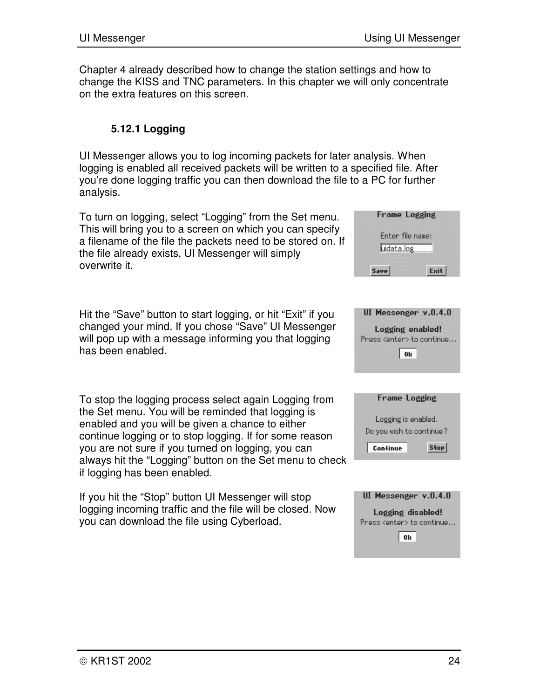Chapter 4 already described how to change the station settings and how to change the KISS and TNC parameters. In this chapter we will only concentrate on the extra features on this screen.

#### **5.12.1 Logging**

UI Messenger allows you to log incoming packets for later analysis. When logging is enabled all received packets will be written to a specified file. After you're done logging traffic you can then download the file to a PC for further analysis.

To turn on logging, select "Logging" from the Set menu. This will bring you to a screen on which you can specify a filename of the file the packets need to be stored on. If the file already exists, UI Messenger will simply overwrite it.

Hit the "Save" button to start logging, or hit "Exit" if you changed your mind. If you chose "Save" UI Messenger will pop up with a message informing you that logging has been enabled.

To stop the logging process select again Logging from the Set menu. You will be reminded that logging is enabled and you will be given a chance to either continue logging or to stop logging. If for some reason you are not sure if you turned on logging, you can always hit the "Logging" button on the Set menu to check if logging has been enabled.

If you hit the "Stop" button UI Messenger will stop logging incoming traffic and the file will be closed. Now you can download the file using Cyberload.



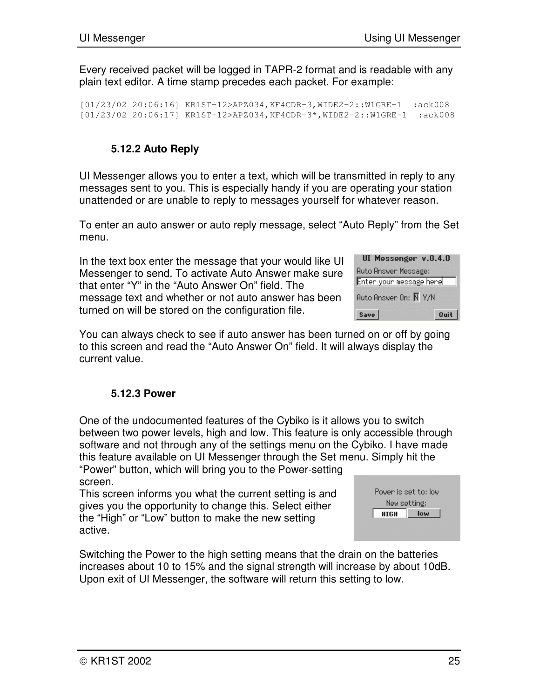Every received packet will be logged in TAPR-2 format and is readable with any plain text editor. A time stamp precedes each packet. For example:

[01/23/02 20:06:16] KR1ST-12>APZ034,KF4CDR-3,WIDE2-2::W1GRE-1 :ack008 [01/23/02 20:06:17] KR1ST-12>APZ034,KF4CDR-3\*,WIDE2-2::W1GRE-1 :ack008

## **5.12.2 Auto Reply**

UI Messenger allows you to enter a text, which will be transmitted in reply to any messages sent to you. This is especially handy if you are operating your station unattended or are unable to reply to messages yourself for whatever reason.

To enter an auto answer or auto reply message, select "Auto Reply" from the Set menu.

In the text box enter the message that your would like UI Messenger to send. To activate Auto Answer make sure that enter "Y" in the "Auto Answer On" field. The message text and whether or not auto answer has been turned on will be stored on the configuration file.

| UI Messenger v.0.4.0        |
|-----------------------------|
| <b>Auto Answer Message:</b> |
| Enter your message here     |
| Auto Answer On: Ñ Y/N       |
| Save<br>Quit                |

You can always check to see if auto answer has been turned on or off by going to this screen and read the "Auto Answer On" field. It will always display the current value.

#### **5.12.3 Power**

One of the undocumented features of the Cybiko is it allows you to switch between two power levels, high and low. This feature is only accessible through software and not through any of the settings menu on the Cybiko. I have made this feature available on UI Messenger through the Set menu. Simply hit the "Power" button, which will bring you to the Power-setting screen.

This screen informs you what the current setting is and gives you the opportunity to change this. Select either the "High" or "Low" button to make the new setting active.

| Power is set to: low |     |  |  |
|----------------------|-----|--|--|
| New setting:         |     |  |  |
| <b>HIGH</b>          | low |  |  |
|                      |     |  |  |

Switching the Power to the high setting means that the drain on the batteries increases about 10 to 15% and the signal strength will increase by about 10dB. Upon exit of UI Messenger, the software will return this setting to low.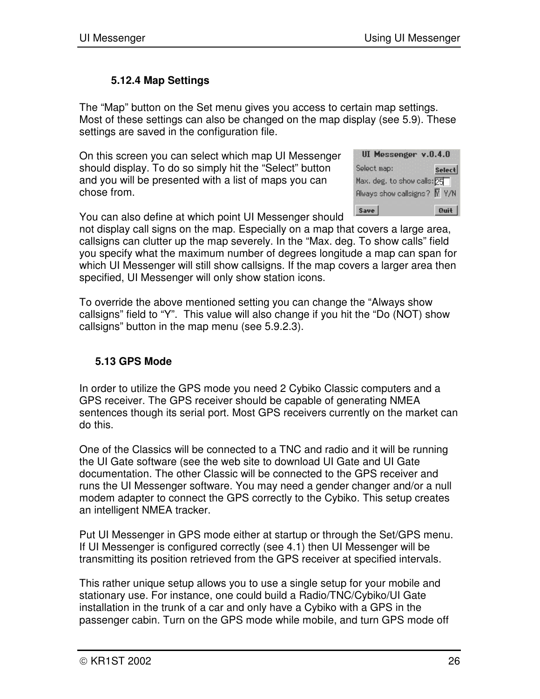#### **5.12.4 Map Settings**

The "Map" button on the Set menu gives you access to certain map settings. Most of these settings can also be changed on the map display (see 5.9). These settings are saved in the configuration file.

On this screen you can select which map UI Messenger should display. To do so simply hit the "Select" button and you will be presented with a list of maps you can chose from.

| UI Messenger v.O.4.O                      |        |
|-------------------------------------------|--------|
| Select map:                               | Select |
| Max. deg. to show calls: 25               |        |
| Always show callsigns? $\overline{N}$ Y/N |        |
| Save                                      | Quit   |

You can also define at which point UI Messenger should

not display call signs on the map. Especially on a map that covers a large area, callsigns can clutter up the map severely. In the "Max. deg. To show calls" field you specify what the maximum number of degrees longitude a map can span for which UI Messenger will still show callsigns. If the map covers a larger area then specified, UI Messenger will only show station icons.

To override the above mentioned setting you can change the "Always show callsigns" field to "Y". This value will also change if you hit the "Do (NOT) show callsigns" button in the map menu (see 5.9.2.3).

#### **5.13 GPS Mode**

In order to utilize the GPS mode you need 2 Cybiko Classic computers and a GPS receiver. The GPS receiver should be capable of generating NMEA sentences though its serial port. Most GPS receivers currently on the market can do this.

One of the Classics will be connected to a TNC and radio and it will be running the UI Gate software (see the web site to download UI Gate and UI Gate documentation. The other Classic will be connected to the GPS receiver and runs the UI Messenger software. You may need a gender changer and/or a null modem adapter to connect the GPS correctly to the Cybiko. This setup creates an intelligent NMEA tracker.

Put UI Messenger in GPS mode either at startup or through the Set/GPS menu. If UI Messenger is configured correctly (see 4.1) then UI Messenger will be transmitting its position retrieved from the GPS receiver at specified intervals.

This rather unique setup allows you to use a single setup for your mobile and stationary use. For instance, one could build a Radio/TNC/Cybiko/UI Gate installation in the trunk of a car and only have a Cybiko with a GPS in the passenger cabin. Turn on the GPS mode while mobile, and turn GPS mode off